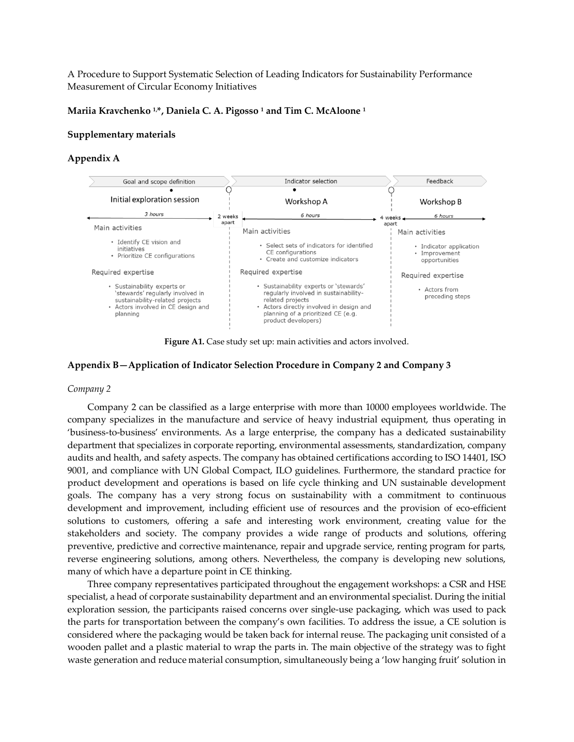A Procedure to Support Systematic Selection of Leading Indicators for Sustainability Performance Measurement of Circular Economy Initiatives

## **Mariia Kravchenko 1,\*, Daniela C. A. Pigosso <sup>1</sup> and Tim C. McAloone <sup>1</sup>**

### **Supplementary materials**

## **Appendix A**



Figure A1. Case study set up: main activities and actors involved.

## **Appendix B—Application of Indicator Selection Procedure in Company 2 and Company 3**

### *Company 2*

Company 2 can be classified as a large enterprise with more than 10000 employees worldwide. The company specializes in the manufacture and service of heavy industrial equipment, thus operating in 'business-to-business' environments. As a large enterprise, the company has a dedicated sustainability department that specializes in corporate reporting, environmental assessments, standardization, company audits and health, and safety aspects. The company has obtained certifications according to ISO 14401, ISO 9001, and compliance with UN Global Compact, ILO guidelines. Furthermore, the standard practice for product development and operations is based on life cycle thinking and UN sustainable development goals. The company has a very strong focus on sustainability with a commitment to continuous development and improvement, including efficient use of resources and the provision of eco-efficient solutions to customers, offering a safe and interesting work environment, creating value for the stakeholders and society. The company provides a wide range of products and solutions, offering preventive, predictive and corrective maintenance, repair and upgrade service, renting program for parts, reverse engineering solutions, among others. Nevertheless, the company is developing new solutions, many of which have a departure point in CE thinking.

Three company representatives participated throughout the engagement workshops: a CSR and HSE specialist, a head of corporate sustainability department and an environmental specialist. During the initial exploration session, the participants raised concerns over single-use packaging, which was used to pack the parts for transportation between the company's own facilities. To address the issue, a CE solution is considered where the packaging would be taken back for internal reuse. The packaging unit consisted of a wooden pallet and a plastic material to wrap the parts in. The main objective of the strategy was to fight waste generation and reduce material consumption, simultaneously being a 'low hanging fruit' solution in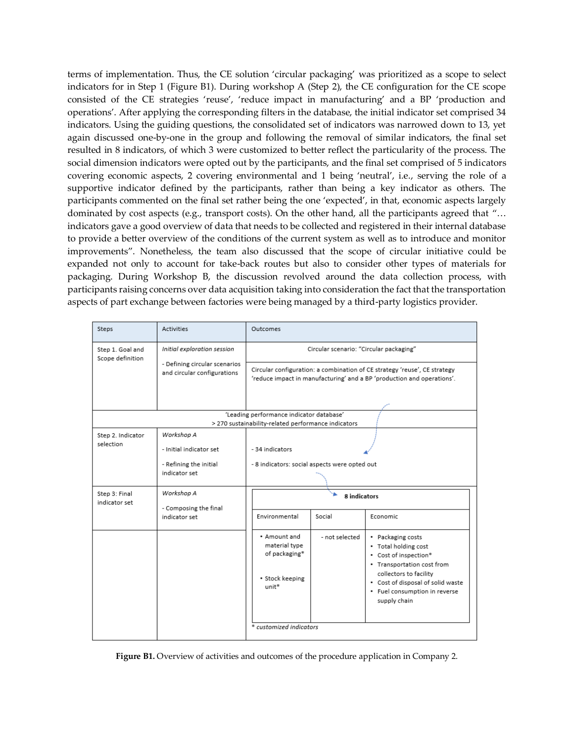terms of implementation. Thus, the CE solution 'circular packaging' was prioritized as a scope to select indicators for in Step 1 (Figure B1). During workshop A (Step 2), the CE configuration for the CE scope consisted of the CE strategies 'reuse', 'reduce impact in manufacturing' and a BP 'production and operations'. After applying the corresponding filters in the database, the initial indicator set comprised 34 indicators. Using the guiding questions, the consolidated set of indicators was narrowed down to 13, yet again discussed one-by-one in the group and following the removal of similar indicators, the final set resulted in 8 indicators, of which 3 were customized to better reflect the particularity of the process. The social dimension indicators were opted out by the participants, and the final set comprised of 5 indicators covering economic aspects, 2 covering environmental and 1 being 'neutral', i.e., serving the role of a supportive indicator defined by the participants, rather than being a key indicator as others. The participants commented on the final set rather being the one 'expected', in that, economic aspects largely dominated by cost aspects (e.g., transport costs). On the other hand, all the participants agreed that "… indicators gave a good overview of data that needs to be collected and registered in their internal database to provide a better overview of the conditions of the current system as well as to introduce and monitor improvements". Nonetheless, the team also discussed that the scope of circular initiative could be expanded not only to account for take-back routes but also to consider other types of materials for packaging. During Workshop B, the discussion revolved around the data collection process, with participants raising concerns over data acquisition taking into consideration the fact that the transportation aspects of part exchange between factories were being managed by a third-party logistics provider.

| Steps                                | <b>Activities</b>                                            | Outcomes                                                                                     |                                                                                                                                                                                                                  |  |  |  |
|--------------------------------------|--------------------------------------------------------------|----------------------------------------------------------------------------------------------|------------------------------------------------------------------------------------------------------------------------------------------------------------------------------------------------------------------|--|--|--|
| Step 1. Goal and<br>Scope definition | Initial exploration session                                  | Circular scenario: "Circular packaging"                                                      |                                                                                                                                                                                                                  |  |  |  |
|                                      | - Defining circular scenarios<br>and circular configurations |                                                                                              | Circular configuration: a combination of CE strategy 'reuse', CE strategy<br>'reduce impact in manufacturing' and a BP 'production and operations'.                                                              |  |  |  |
|                                      |                                                              | 'Leading performance indicator database'                                                     |                                                                                                                                                                                                                  |  |  |  |
|                                      |                                                              | > 270 sustainability-related performance indicators                                          |                                                                                                                                                                                                                  |  |  |  |
| Step 2. Indicator<br>selection       | Workshop A<br>- Initial indicator set                        | - 34 indicators                                                                              |                                                                                                                                                                                                                  |  |  |  |
|                                      | - Refining the initial<br>indicator set                      | - 8 indicators: social aspects were opted out                                                |                                                                                                                                                                                                                  |  |  |  |
| Step 3: Final<br>indicator set       | Workshop A<br>- Composing the final<br>indicator set         | 8 indicators                                                                                 |                                                                                                                                                                                                                  |  |  |  |
|                                      |                                                              | Environmental<br>Social                                                                      | Economic                                                                                                                                                                                                         |  |  |  |
|                                      |                                                              | • Amount and<br>- not selected<br>material type<br>of packaging*<br>• Stock keeping<br>unit* | • Packaging costs<br>• Total holding cost<br>• Cost of inspection*<br>• Transportation cost from<br>collectors to facility<br>• Cost of disposal of solid waste<br>• Fuel consumption in reverse<br>supply chain |  |  |  |
|                                      |                                                              | * customized indicators                                                                      |                                                                                                                                                                                                                  |  |  |  |

**Figure B1.** Overview of activities and outcomes of the procedure application in Company 2.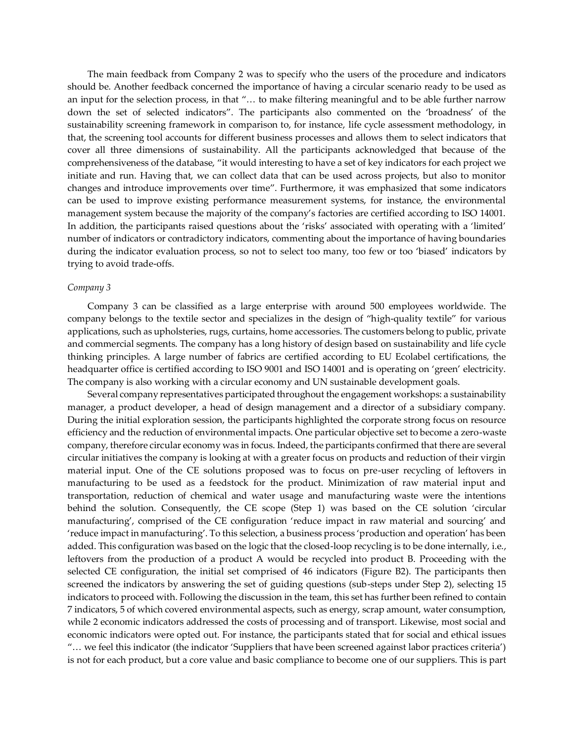The main feedback from Company 2 was to specify who the users of the procedure and indicators should be. Another feedback concerned the importance of having a circular scenario ready to be used as an input for the selection process, in that "… to make filtering meaningful and to be able further narrow down the set of selected indicators". The participants also commented on the 'broadness' of the sustainability screening framework in comparison to, for instance, life cycle assessment methodology, in that, the screening tool accounts for different business processes and allows them to select indicators that cover all three dimensions of sustainability. All the participants acknowledged that because of the comprehensiveness of the database, "it would interesting to have a set of key indicators for each project we initiate and run. Having that, we can collect data that can be used across projects, but also to monitor changes and introduce improvements over time". Furthermore, it was emphasized that some indicators can be used to improve existing performance measurement systems, for instance, the environmental management system because the majority of the company's factories are certified according to ISO 14001. In addition, the participants raised questions about the 'risks' associated with operating with a 'limited' number of indicators or contradictory indicators, commenting about the importance of having boundaries during the indicator evaluation process, so not to select too many, too few or too 'biased' indicators by trying to avoid trade-offs.

### *Company 3*

Company 3 can be classified as a large enterprise with around 500 employees worldwide. The company belongs to the textile sector and specializes in the design of "high-quality textile" for various applications, such as upholsteries, rugs, curtains, home accessories. The customers belong to public, private and commercial segments. The company has a long history of design based on sustainability and life cycle thinking principles. A large number of fabrics are certified according to EU Ecolabel certifications, the headquarter office is certified according to ISO 9001 and ISO 14001 and is operating on 'green' electricity. The company is also working with a circular economy and UN sustainable development goals.

Several company representatives participated throughout the engagement workshops: a sustainability manager, a product developer, a head of design management and a director of a subsidiary company. During the initial exploration session, the participants highlighted the corporate strong focus on resource efficiency and the reduction of environmental impacts. One particular objective set to become a zero-waste company, therefore circular economy was in focus. Indeed, the participants confirmed that there are several circular initiatives the company is looking at with a greater focus on products and reduction of their virgin material input. One of the CE solutions proposed was to focus on pre-user recycling of leftovers in manufacturing to be used as a feedstock for the product. Minimization of raw material input and transportation, reduction of chemical and water usage and manufacturing waste were the intentions behind the solution. Consequently, the CE scope (Step 1) was based on the CE solution 'circular manufacturing', comprised of the CE configuration 'reduce impact in raw material and sourcing' and 'reduce impact in manufacturing'. To this selection, a business process 'production and operation' has been added. This configuration was based on the logic that the closed-loop recycling is to be done internally, i.e., leftovers from the production of a product A would be recycled into product B. Proceeding with the selected CE configuration, the initial set comprised of 46 indicators (Figure B2). The participants then screened the indicators by answering the set of guiding questions (sub-steps under Step 2), selecting 15 indicators to proceed with. Following the discussion in the team, this set has further been refined to contain 7 indicators, 5 of which covered environmental aspects, such as energy, scrap amount, water consumption, while 2 economic indicators addressed the costs of processing and of transport. Likewise, most social and economic indicators were opted out. For instance, the participants stated that for social and ethical issues "… we feel this indicator (the indicator 'Suppliers that have been screened against labor practices criteria') is not for each product, but a core value and basic compliance to become one of our suppliers. This is part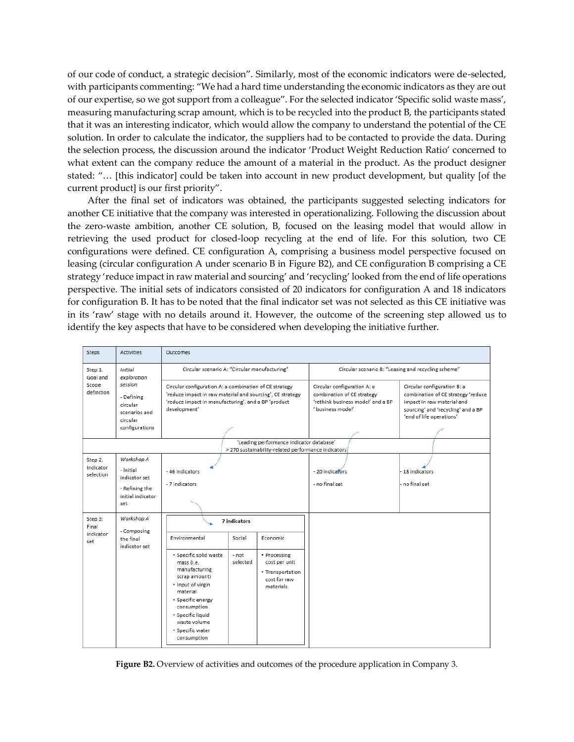of our code of conduct, a strategic decision". Similarly, most of the economic indicators were de-selected, with participants commenting: "We had a hard time understanding the economic indicators as they are out of our expertise, so we got support from a colleague". For the selected indicator 'Specific solid waste mass', measuring manufacturing scrap amount, which is to be recycled into the product B, the participants stated that it was an interesting indicator, which would allow the company to understand the potential of the CE solution. In order to calculate the indicator, the suppliers had to be contacted to provide the data. During the selection process, the discussion around the indicator 'Product Weight Reduction Ratio' concerned to what extent can the company reduce the amount of a material in the product. As the product designer stated: "… [this indicator] could be taken into account in new product development, but quality [of the current product] is our first priority".

After the final set of indicators was obtained, the participants suggested selecting indicators for another CE initiative that the company was interested in operationalizing. Following the discussion about the zero-waste ambition, another CE solution, B, focused on the leasing model that would allow in retrieving the used product for closed-loop recycling at the end of life. For this solution, two CE configurations were defined. CE configuration A, comprising a business model perspective focused on leasing (circular configuration A under scenario B in Figure B2), and CE configuration B comprising a CE strategy 'reduce impact in raw material and sourcing' and 'recycling' looked from the end of life operations perspective. The initial sets of indicators consisted of 20 indicators for configuration A and 18 indicators for configuration B. It has to be noted that the final indicator set was not selected as this CE initiative was in its 'raw' stage with no details around it. However, the outcome of the screening step allowed us to identify the key aspects that have to be considered when developing the initiative further.



**Figure B2.** Overview of activities and outcomes of the procedure application in Company 3.